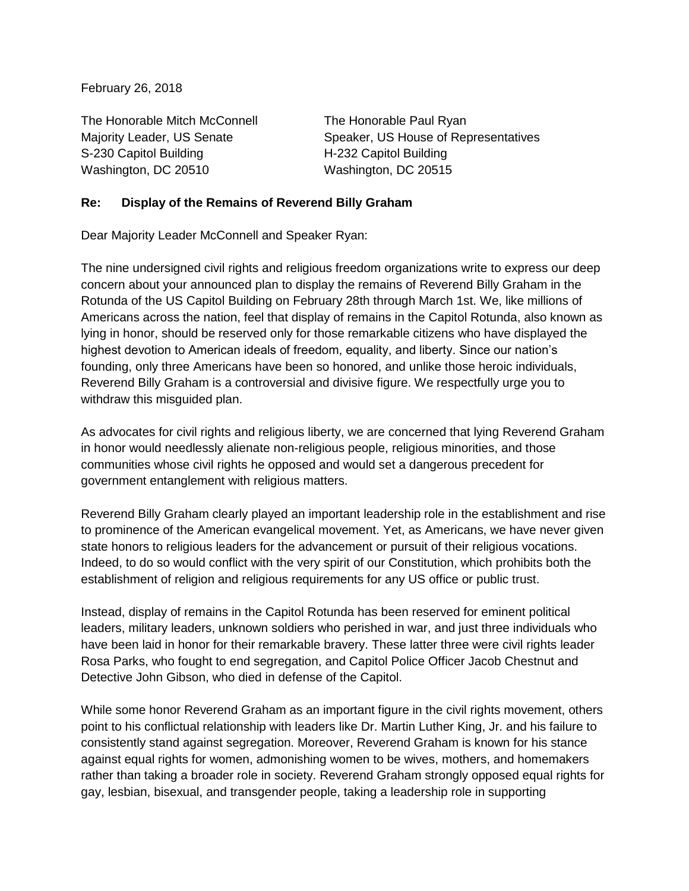February 26, 2018

The Honorable Mitch McConnell The Honorable Paul Ryan S-230 Capitol Building H-232 Capitol Building Washington, DC 20510 Washington, DC 20515

Majority Leader, US Senate Speaker, US House of Representatives

## **Re: Display of the Remains of Reverend Billy Graham**

Dear Majority Leader McConnell and Speaker Ryan:

The nine undersigned civil rights and religious freedom organizations write to express our deep concern about your announced plan to display the remains of Reverend Billy Graham in the Rotunda of the US Capitol Building on February 28th through March 1st. We, like millions of Americans across the nation, feel that display of remains in the Capitol Rotunda, also known as lying in honor, should be reserved only for those remarkable citizens who have displayed the highest devotion to American ideals of freedom, equality, and liberty. Since our nation's founding, only three Americans have been so honored, and unlike those heroic individuals, Reverend Billy Graham is a controversial and divisive figure. We respectfully urge you to withdraw this misguided plan.

As advocates for civil rights and religious liberty, we are concerned that lying Reverend Graham in honor would needlessly alienate non-religious people, religious minorities, and those communities whose civil rights he opposed and would set a dangerous precedent for government entanglement with religious matters.

Reverend Billy Graham clearly played an important leadership role in the establishment and rise to prominence of the American evangelical movement. Yet, as Americans, we have never given state honors to religious leaders for the advancement or pursuit of their religious vocations. Indeed, to do so would conflict with the very spirit of our Constitution, which prohibits both the establishment of religion and religious requirements for any US office or public trust.

Instead, display of remains in the Capitol Rotunda has been reserved for eminent political leaders, military leaders, unknown soldiers who perished in war, and just three individuals who have been laid in honor for their remarkable bravery. These latter three were civil rights leader Rosa Parks, who fought to end segregation, and Capitol Police Officer Jacob Chestnut and Detective John Gibson, who died in defense of the Capitol.

While some honor Reverend Graham as an important figure in the civil rights movement, others point to his conflictual relationship with leaders like Dr. Martin Luther King, Jr. and his failure to consistently stand against segregation. Moreover, Reverend Graham is known for his stance against equal rights for women, admonishing women to be wives, mothers, and homemakers rather than taking a broader role in society. Reverend Graham strongly opposed equal rights for gay, lesbian, bisexual, and transgender people, taking a leadership role in supporting